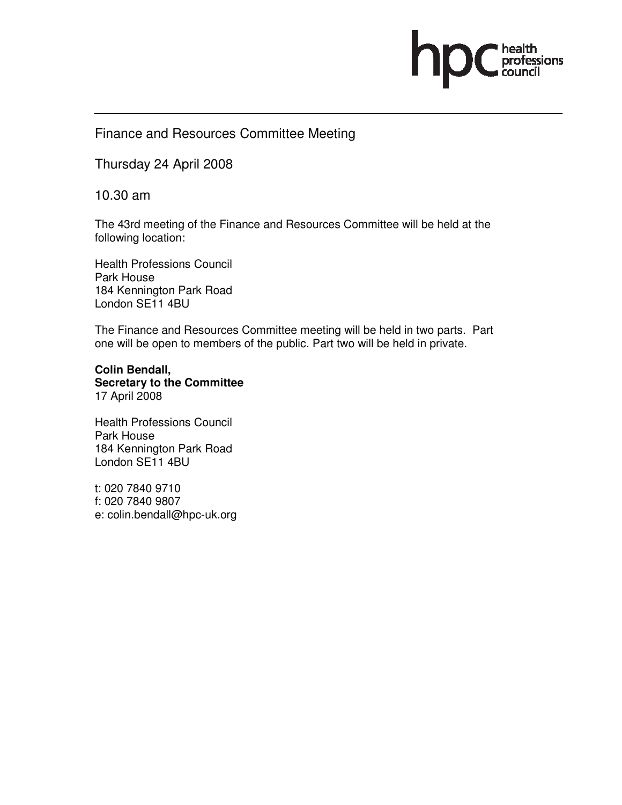# ofessions

## Finance and Resources Committee Meeting

Thursday 24 April 2008

10.30 am

The 43rd meeting of the Finance and Resources Committee will be held at the following location:

Health Professions Council Park House 184 Kennington Park Road London SE11 4BU

The Finance and Resources Committee meeting will be held in two parts. Part one will be open to members of the public. Part two will be held in private.

**Colin Bendall, Secretary to the Committee**  17 April 2008

Health Professions Council Park House 184 Kennington Park Road London SE11 4BU

t: 020 7840 9710 f: 020 7840 9807 e: colin.bendall@hpc-uk.org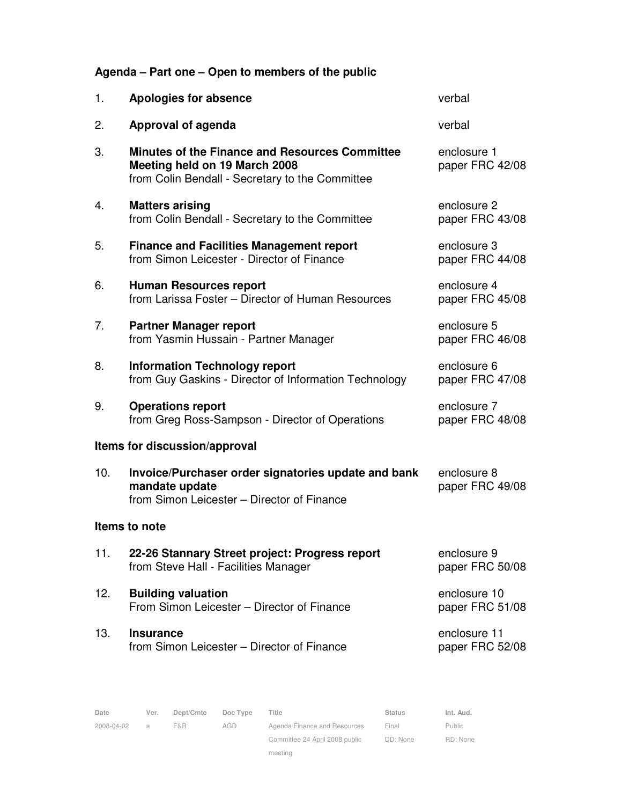## **Agenda – Part one – Open to members of the public**

| 1.                            | <b>Apologies for absence</b>                                                                                                              | verbal                          |  |  |  |  |  |  |
|-------------------------------|-------------------------------------------------------------------------------------------------------------------------------------------|---------------------------------|--|--|--|--|--|--|
| 2.                            | Approval of agenda                                                                                                                        | verbal                          |  |  |  |  |  |  |
| 3.                            | <b>Minutes of the Finance and Resources Committee</b><br>Meeting held on 19 March 2008<br>from Colin Bendall - Secretary to the Committee | enclosure 1<br>paper FRC 42/08  |  |  |  |  |  |  |
| 4.                            | <b>Matters arising</b><br>from Colin Bendall - Secretary to the Committee                                                                 | enclosure 2<br>paper FRC 43/08  |  |  |  |  |  |  |
| 5.                            | <b>Finance and Facilities Management report</b><br>from Simon Leicester - Director of Finance                                             | enclosure 3<br>paper FRC 44/08  |  |  |  |  |  |  |
| 6.                            | <b>Human Resources report</b><br>from Larissa Foster - Director of Human Resources                                                        | enclosure 4<br>paper FRC 45/08  |  |  |  |  |  |  |
| 7.                            | <b>Partner Manager report</b><br>from Yasmin Hussain - Partner Manager                                                                    | enclosure 5<br>paper FRC 46/08  |  |  |  |  |  |  |
| 8.                            | <b>Information Technology report</b><br>from Guy Gaskins - Director of Information Technology                                             | enclosure 6<br>paper FRC 47/08  |  |  |  |  |  |  |
| 9.                            | <b>Operations report</b><br>from Greg Ross-Sampson - Director of Operations                                                               | enclosure 7<br>paper FRC 48/08  |  |  |  |  |  |  |
| Items for discussion/approval |                                                                                                                                           |                                 |  |  |  |  |  |  |
| 10.                           | Invoice/Purchaser order signatories update and bank<br>mandate update<br>from Simon Leicester - Director of Finance                       | enclosure 8<br>paper FRC 49/08  |  |  |  |  |  |  |
| Items to note                 |                                                                                                                                           |                                 |  |  |  |  |  |  |
| 11.                           | 22-26 Stannary Street project: Progress report<br>from Steve Hall - Facilities Manager                                                    | enclosure 9<br>paper FRC 50/08  |  |  |  |  |  |  |
| 12.                           | <b>Building valuation</b><br>From Simon Leicester – Director of Finance                                                                   | enclosure 10<br>paper FRC 51/08 |  |  |  |  |  |  |
| 13.                           | <b>Insurance</b><br>from Simon Leicester - Director of Finance                                                                            | enclosure 11<br>paper FRC 52/08 |  |  |  |  |  |  |

| Date       | Ver. | Dept/Cmte | Doc Type | Title                          | <b>Status</b> | Int. Aud.     |
|------------|------|-----------|----------|--------------------------------|---------------|---------------|
| 2008-04-02 | a.   | F&R.      | AGD      | Agenda Finance and Resources   | Final         | <b>Public</b> |
|            |      |           |          | Committee 24 April 2008 public | DD: None      | RD: None      |

meeting